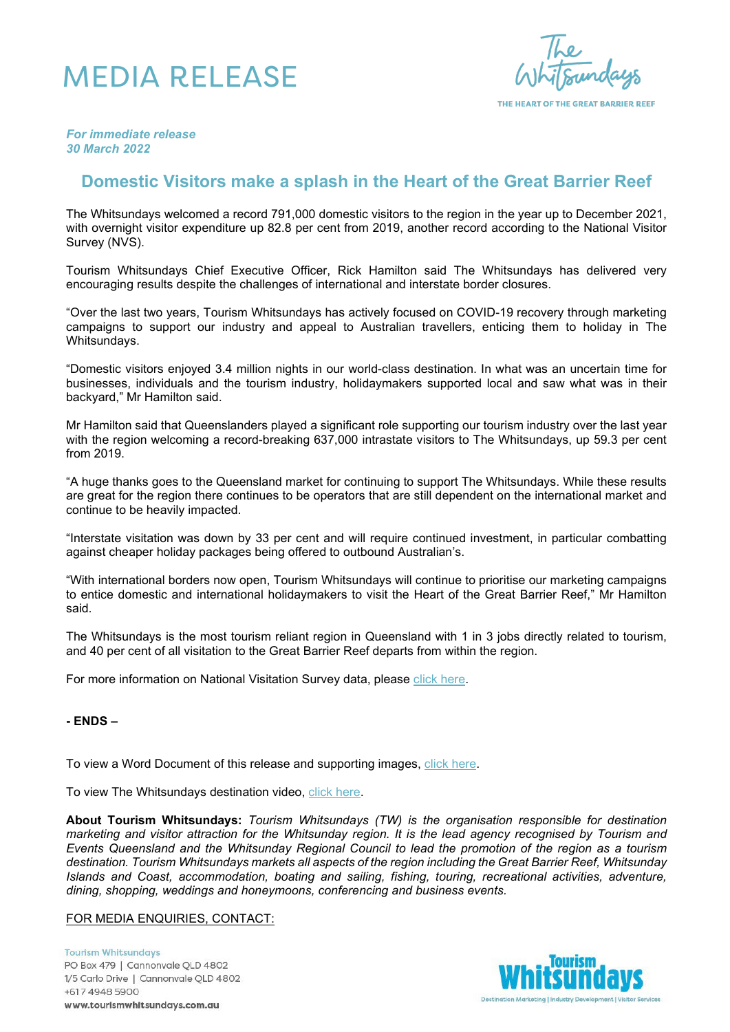## MEDIA RELEASE

THE HEART OF THE GREAT BARRIER REEF

*For immediate release 30 March 2022*

## **Domestic Visitors make a splash in the Heart of the Great Barrier Reef**

The Whitsundays welcomed a record 791,000 domestic visitors to the region in the year up to December 2021, with overnight visitor expenditure up 82.8 per cent from 2019, another record according to the National Visitor Survey (NVS).

Tourism Whitsundays Chief Executive Officer, Rick Hamilton said The Whitsundays has delivered very encouraging results despite the challenges of international and interstate border closures.

"Over the last two years, Tourism Whitsundays has actively focused on COVID-19 recovery through marketing campaigns to support our industry and appeal to Australian travellers, enticing them to holiday in The Whitsundays.

"Domestic visitors enjoyed 3.4 million nights in our world-class destination. In what was an uncertain time for businesses, individuals and the tourism industry, holidaymakers supported local and saw what was in their backyard," Mr Hamilton said.

Mr Hamilton said that Queenslanders played a significant role supporting our tourism industry over the last year with the region welcoming a record-breaking 637,000 intrastate visitors to The Whitsundays, up 59.3 per cent from 2019.

"A huge thanks goes to the Queensland market for continuing to support The Whitsundays. While these results are great for the region there continues to be operators that are still dependent on the international market and continue to be heavily impacted.

"Interstate visitation was down by 33 per cent and will require continued investment, in particular combatting against cheaper holiday packages being offered to outbound Australian's.

"With international borders now open, Tourism Whitsundays will continue to prioritise our marketing campaigns to entice domestic and international holidaymakers to visit the Heart of the Great Barrier Reef," Mr Hamilton said.

The Whitsundays is the most tourism reliant region in Queensland with 1 in 3 jobs directly related to tourism, and 40 per cent of all visitation to the Great Barrier Reef departs from within the region.

For more information on National Visitation Survey data, please [click here.](https://teq.queensland.com/au/en/industry/research-and-insights/tourism-data-explorer?redirect=research-and-insights/tourism-data-explorer)

## **- ENDS –**

To view a Word Document of this release and supporting images, [click here.](https://www.dropbox.com/sh/1himvukofpnu7z3/AADFKgYMOHkKyaOhc7vngFRya?dl=0)

To view The Whitsundays destination video, [click here.](https://www.youtube.com/watch?v=R3JYNCduZko)

**About Tourism Whitsundays:** *Tourism Whitsundays (TW) is the organisation responsible for destination marketing and visitor attraction for the Whitsunday region. It is the lead agency recognised by Tourism and Events Queensland and the Whitsunday Regional Council to lead the promotion of the region as a tourism destination. Tourism Whitsundays markets all aspects of the region including the Great Barrier Reef, Whitsunday Islands and Coast, accommodation, boating and sailing, fishing, touring, recreational activities, adventure, dining, shopping, weddings and honeymoons, conferencing and business events.*

## FOR MEDIA ENQUIRIES, CONTACT:

**Tourism Whitsundays** PO Box 479 | Cannonvale QLD 4802 1/5 Carlo Drive | Cannonvale QLD 4802 +617 4948 5900 www.tourismwhitsundays.com.au